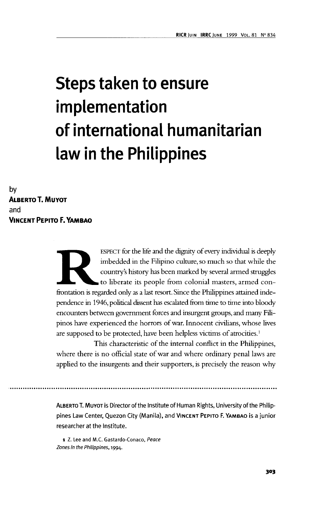# **Steps taken to ensure implementation of international humanitarian law in the Philippines**

**by ALBERTO T.MUYOT and VINCENT PEPITO F. YAMBAO**

> ESPECT for the life and the dignity of every individual is deeply<br>imbedded in the Filipino culture, so much so that while the<br>country's history has been marked by several armed struggles<br>to liberate its people from colonia imbedded in the Filipino culture, so much so that while the country's history has been marked by several armed struggles to liberate its people from colonial masters, armed conpendence in 1946, political dissent has escalated from time to time into bloody encounters between government forces and insurgent groups, and many Filipinos have experienced the horrors of war. Innocent civilians, whose lives are supposed to be protected, have been helpless victims of atrocities.1

> This characteristic of the internal conflict in the Philippines, where there is no official state of war and where ordinary penal laws are applied to the insurgents and their supporters, is precisely the reason why

> ALBERTO T. MUYOT is Director of the Institute of Human Rights, University of the Philippines Law Center, Quezon City (Manila), and VINCENT PEPITO F. YAMBAO is a junior researcher at the Institute.

1 Z. Lee and M.C. Gastardo-Conaco, Peace Zones in the Philippines, 1994.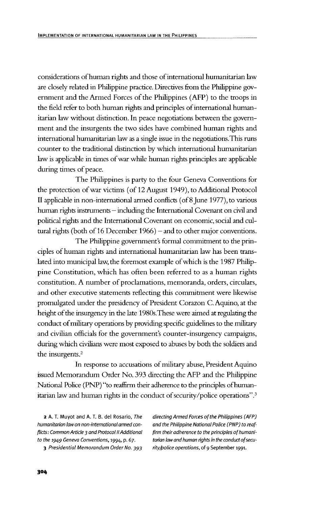considerations of human rights and those of international humanitarian law are closely related in Philippine practice. Directives from the Philippine government and the Armed Forces of the Philippines (AFP) to the troops in the field refer to both human rights and principles of international humanitarian law without distinction. In peace negotiations between the government and the insurgents the two sides have combined human rights and international humanitarian law as a single issue in the negotiations.This runs counter to the traditional distinction by which international humanitarian law is applicable in times of war while human rights principles are applicable during times of peace.

The Philippines is party to the four Geneva Conventions for the protection of war victims (of 12 August 1949), to Additional Protocol II applicable in non-international armed conflicts (of 8 June 1977), to various human rights instruments — including the International Covenant on civil and political rights and the International Covenant on economic, social and cultural rights (both of 16 December 1966) — and to other major conventions.

The Philippine government's formal commitment to the principles of human rights and international humanitarian law has been translated into municipal law, the foremost example of which is the 1987 Philippine Constitution, which has often been referred to as a human rights constitution. A number of proclamations, memoranda, orders, circulars, and other executive statements reflecting this commitment were likewise promulgated under the presidency of President Corazon C.Aquino, at the height of the insurgency in the late 1980s.These were aimed at regulating the conduct of military operations by providing specific guidelines to the military and civilian officials for the government's counter-insurgency campaigns, during which civilians were most exposed to abuses by both the soldiers and the insurgents.2

In response to accusations of military abuse, President Aquino issued Memorandum Order No. 393 directing the AFP and the Philippine National Police (PNP) "to reaffirm their adherence to the principles of humanitarian law and human rights in the conduct of security/police operations".<sup>3</sup>

humanitarian law on non-international armed con- and the Philippine National Police (PNP) to reafflicts: Common Article 3 and Protocol II Additional firm their adherence to the principles of humanito the 1949 Geneva Conventions, 1994, p. 67. tarian law and human rights in the conduct of secu-

2 A. T. Muyot and A. T. B. del Rosario, The directing Armed Forces of the Philippines (AFP) 3 Presidential Memorandum Order No. 393 rity/police operations, of 9 September 1991.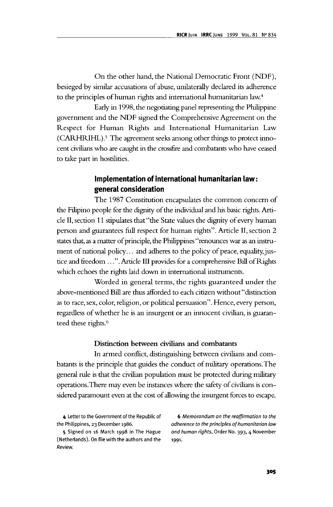On the other hand, the National Democratic Front (NDF), besieged by similar accusations of abuse, unilaterally declared its adherence to the principles of human rights and international humanitarian law.<sup>4</sup>

Early in 1998, the negotiating panel representing the Philippine government and the NDF signed the Comprehensive Agreement on the Respect for Human Rights and International Humanitarian Law (CARHRIHL).<sup>5</sup> The agreement seeks among other things to protect innocent civilians who are caught in the crossfire and combatants who have ceased to take part in hostilities.

## **Implementation of international humanitarian law: general consideration**

The 1987 Constitution encapsulates the common concern of the Filipino people for the dignity of the individual and his basic rights. Article II, section 11 stipulates that "the State values the dignity of every human person and guarantees full respect for human rights". Article II, section 2 states that, as a matter of principle, the Philippines "renounces war as an instrument of national policy... and adheres to the policy of peace, equality, justice and freedom ...". Article III provides for a comprehensive Bill of Rights which echoes the rights laid down in international instruments.

Worded in general terms, the rights guaranteed under the above-mentioned Bill are thus afforded to each citizen without "distinction as to race, sex, color, religion, or political persuasion". Hence, every person, regardless of whether he is an insurgent or an innocent civilian, is guaranteed these rights.<sup>6</sup>

#### Distinction between civilians and combatants

In armed conflict, distinguishing between civilians and combatants is the principle that guides the conduct of military operations. The general rule is that the civilian population must be protected during military operations.There may even be instances where the safety of civilians is considered paramount even at the cost of allowing the insurgent forces to escape.

(Netherlands). On file with the authors and the 1991. Review.

4 Letter to the Government of the Republic of 6 Memorandum on the reaffirmation to the the Philippines, 23 December 1986. An adherence to the principles of humanitarian law 5 Signed on 16 March 1998 in The Hague and human rights, Order No. 393, 4 November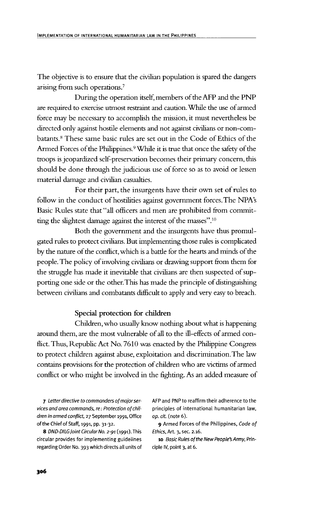The objective is to ensure that the civilian population is spared the dangers arising from such operations.7

During the operation itself, members of the AFP and the PNP are required to exercise utmost restraint and caution. While the use of armed force may be necessary to accomplish the mission, it must nevertheless be directed only against hostile elements and not against civilians or non-combatants.<sup>8</sup> These same basic rules are set out in the Code of Ethics of the Armed Forces of the Philippines.<sup>9</sup> While it is true that once the safety of the troops is jeopardized self-preservation becomes their primary concern, this should be done through the judicious use of force so as to avoid or lessen material damage and civilian casualties.

For their part, the insurgents have their own set of rules to follow in the conduct of hostilities against government forces.The NPA's Basic Rules state that "all officers and men are prohibited from committing the slightest damage against the interest of the masses".10

Both the government and the insurgents have thus promulgated rules to protect civilians. But implementing those rules is complicated by the nature of the conflict, which is a battle for the hearts and minds of the people. The policy of involving civilians or drawing support from them for the struggle has made it inevitable that civilians are then suspected of supporting one side or the other. This has made the principle of distinguishing between civilians and combatants difficult to apply and very easy to breach.

## **Special protection for children**

Children, who usually know nothing about what is happening around them, are the most vulnerable of all to the ill-effects of armed conflict. Thus, Republic Act No. 7610 was enacted by the Philippine Congress to protect children against abuse, exploitation and discrimination. The law contains provisions for the protection of children who are victims of armed conflict or who might be involved in the fighting. As an added measure of

vices and area commands, re: Protection of chil- principles of international humanitarian law, dren in armed conflict, 27 September 1991, Office op. cit. (note 6). of the Chief of Staff, 1991, pp. 31-32. 9 Armed Forces of the Philippines, Code of

8 DND-DILG Joint Circular No. 2-91 (1991). This Ethics, Art. 3, sec. 2.16. circular provides for implementing guidelines 10 Basic Rules of the New People's Army, Prinregarding Order No. 393 which directs all units of ciple IV, point 3, at 6.

7 Letter directive to commanders of major ser-<br>AFP and PNP to reaffirm their adherence to the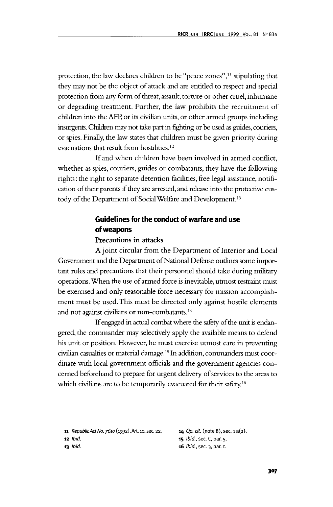protection, the law declares children to be "peace zones",<sup>11</sup> stipulating that they may not be the object of attack and are entitled to respect and special protection from any form of threat, assault, torture or other cruel, inhumane or degrading treatment. Further, the law prohibits the recruitment of children into the AFP, or its civilian units, or other armed groups including insurgents. Children may not take part in fighting or be used as guides, couriers, or spies. Finally, the law states that children must be given priority during evacuations that result from hostilities.12

If and when children have been involved in armed conflict, whether as spies, couriers, guides or combatants, they have the following rights: the right to separate detention facilities, free legal assistance, notification of their parents if they are arrested, and release into the protective custody of the Department of Social Welfare and Development.<sup>13</sup>

# **Guidelines for the conduct of warfare and use of weapons**

#### Precautions in attacks

A joint circular from the Department of Interior and Local Government and the Department of National Defense outlines some important rules and precautions that their personnel should take during military operations. When the use of armed force is inevitable, utmost restraint must be exercised and only reasonable force necessary for mission accomplishment must be used. This must be directed only against hostile elements and not against civilians or non-combatants.<sup>14</sup>

If engaged in actual combat where the safety of the unit is endangered, the commander may selectively apply the available means to defend his unit or position. However, he must exercise utmost care in preventing civilian casualties or material damage.15 In addition, commanders must coordinate with local government officials and the government agencies concerned beforehand to prepare for urgent delivery of services to the areas to which civilians are to be temporarily evacuated for their safety.<sup>16</sup>

| 11 Republic Act No. 7610 (1992), Art. 10, sec. 22. | <b>14</b> Op. cit. (note 8), sec. $1a(2)$ . |
|----------------------------------------------------|---------------------------------------------|
| 12 <i>Ibid.</i>                                    | <b>15</b> <i>lbid.</i> , sec. C, par. 5.    |
| $13$ Ibid.                                         | <b>16</b> <i>lbid.</i> , sec. 3, par. c.    |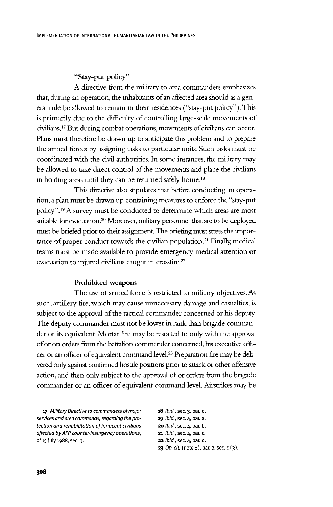"Stay-put policy"

A directive from the military to area commanders emphasizes that, during an operation, the inhabitants of an affected area should as a general rule be allowed to remain in their residences ("stay-put policy"). This is primarily due to the difficulty of controlling large-scale movements of civilians.17 But during combat operations, movements of civilians can occur. Plans must therefore be drawn up to anticipate this problem and to prepare the armed forces by assigning tasks to particular units. Such tasks must be coordinated with the civil authorities. In some instances, the military may be allowed to take direct control of the movements and place the civilians in holding areas until they can be returned safely home.<sup>18</sup>

This directive also stipulates that before conducting an operation, a plan must be drawn up containing measures to enforce the "stay-put policy".<sup>19</sup> A survey must be conducted to determine which areas are most suitable for evacuation.<sup>20</sup> Moreover, military personnel that are to be deployed must be briefed prior to their assignment. The briefing must stress the importance of proper conduct towards the civilian population.<sup>21</sup> Finally, medical teams must be made available to provide emergency medical attention or evacuation to injured civilians caught in crossfire.22

#### **Prohibited weapons**

The use of armed force is restricted to military objectives. As such, artillery fire, which may cause unnecessary damage and casualties, is subject to the approval of the tactical commander concerned or his deputy. The deputy commander must not be lower in rank than brigade commander or its equivalent. Mortar fire may be resorted to only with the approval of or on orders from the battalion commander concerned, his executive officer or an officer of equivalent command level.23 Preparation fire may be delivered only against confirmed hostile positions prior to attack or other offensive action, and then only subject to the approval of or orders from the brigade commander or an officer of equivalent command level. Airstrikes may be

17 Military Directive to commanders of major 18 Ibid., sec. 3, par. d. services and area commands, regarding the pro- 19 Ibid., sec. 4, par. a. tection and rehabilitation of innocent civilians **20** Ibid., sec. 4, par. b. affected by AFP counter-insurgency operations, 21 Ibid., sec. 4, par. c. of 15 July 1988, sec. 3. 22 Ibid., sec. 4, par. d.

**23** Op. cit. (note 8), par. 2, sec.  $c(3)$ .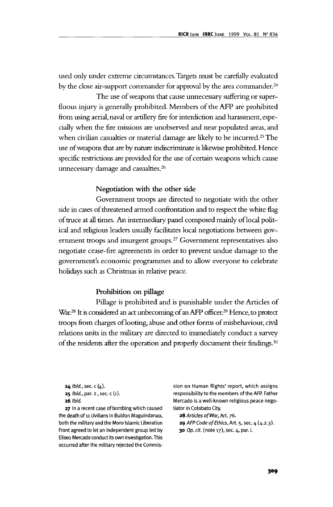used only under extreme circumstances. Targets must be carefully evaluated by the close air-support commander for approval by the area commander.<sup>24</sup>

The use of weapons that cause unnecessary suffering or superfluous injury is generally prohibited. Members of the AFP are prohibited from using aerial, naval or artillery fire for interdiction and harassment, especially when the fire missions are unobserved and near populated areas, and when civilian casualties or material damage are likely to be incurred.<sup>25</sup> The use of weapons that are by nature indiscriminate is likewise prohibited. Hence specific restrictions are provided for the use of certain weapons which cause unnecessary damage and casualties.26

## **Negotiation with the other side**

Government troops are directed to negotiate with the other side in cases of threatened armed confrontation and to respect the white flag of truce at all times. An intermediary panel composed mainly of local political and religious leaders usually facilitates local negotiations between government troops and insurgent groups.<sup>27</sup> Government representatives also negotiate cease-fire agreements in order to prevent undue damage to the government's economic programmes and to allow everyone to celebrate holidays such as Christmas in relative peace.

## **Prohibition on pillage**

Pillage is prohibited and is punishable under the Articles of War.<sup>28</sup> It is considered an act unbecoming of an AFP officer.<sup>29</sup> Hence, to protect troops from charges of looting, abuse and other forms of misbehaviour, civil relations units in the military are directed to immediately conduct a survey of the residents after the operation and properly document their findings.<sup>30</sup>

27 In a recent case of bombing which caused tiator in Cotabato City. the death of 11 civilians in Buldon Maguindanao, 28 Articles of War, Art. 76. both the military and the Moro Islamic Liberation 29 AFP Code of Ethics, Art. 5, sec. 4 (4.2.3). Front agreed to let an independent group led by  $30$  Op. cit. (note 17), sec. 4, par. i. Eliseo Mercado conduct its own investigation. This occurred after the military rejected the Commis-

**24** *Ibid.*, sec. c  $(4)$ . sion on Human Rights' report, which assigns 25 *Ibid.*, par. 2, sec. c (1). responsibility to the members of the AFP. Father 26 Ibid. Mercado is a well-known religious peace nego-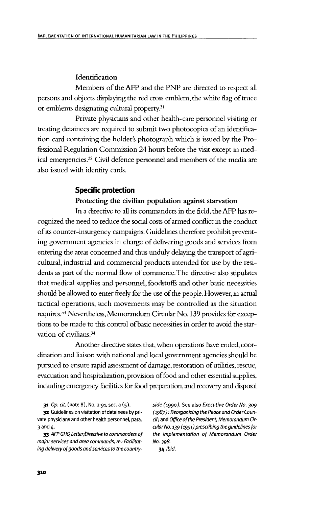#### **Identification**

Members of the AFP and the PNP are directed to respect all persons and objects displaying the red cross emblem, the white flag of truce or emblems designating cultural property.<sup>31</sup>

Private physicians and other health-care personnel visiting or treating detainees are required to submit two photocopies of an identification card containing the holder's photograph which is issued by the Professional Regulation Commission 24 hours before the visit except in medical emergencies.<sup>32</sup> Civil defence personnel and members of the media are also issued with identity cards.

## **Specific protection**

## **Protecting the civilian population against starvation**

**In** a directive to all its commanders in the field, the AFP has recognized the need to reduce the social costs of armed conflict in the conduct of its counter-insurgency campaigns. Guidelines therefore prohibit preventing government agencies in charge of delivering goods and services from entering the areas concerned and thus unduly delaying the transport of agricultural, industrial and commercial products intended for use by the residents as part of the normal flow of commerce. The directive also stipulates that medical supplies and personnel, foodstuffs and other basic necessities should be allowed to enter freely for the use of the people. However, in actual tactical operations, such movements may be controlled as the situation requires.33 Nevertheless, Memorandum Circular No. 139 provides for exceptions to be made to this control of basic necessities in order to avoid the starvation of civilians.34

Another directive states that, when operations have ended, coordination and liaison with national and local government agencies should be pursued to ensure rapid assessment of damage, restoration of utilities, rescue, evacuation and hospitalization, provision of food and other essential supplies, including emergency facilities for food preparation, and recovery and disposal

vate physicians and other health personnel, para. cil; and Office of the President, Memorandum Cir-3 and 4. cular No. 139 (1991) prescribing the guidelines for

major services and area commands, re: Facilitat- No. 398. ing delivery of goods and services to the country-<br>34 Ibid.

31 Op. cit. (note 8), No. 2-91, sec. a  $(5)$ . side  $(1990)$ . See also Executive Order No. 309 32 Guidelines on visitation of detainees by pri- (1987): Reorganizing the Peace and Order Coun-33 AFP GHQ Letter/Directive to commanders of the implementation of Memorandum Order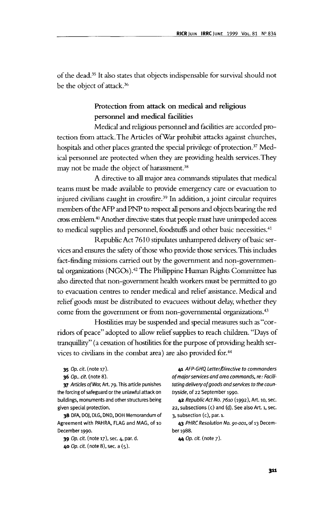of the dead.35 It also states that objects indispensable for survival should not be the object of attack.36

## **Protection from attack on medical and religious personnel and medical facilities**

Medical and religious personnel and facilities are accorded protection from attack. The Articles ofWar prohibit attacks against churches, hospitals and other places granted the special privilege of protection.<sup>37</sup> Medical personnel are protected when they are providing health services.They may not be made the object of harassment.<sup>38</sup>

A directive to all major area commands stipulates that medical teams must be made available to provide emergency care or evacuation to injured civilians caught in crossfire.39 In addition, a joint circular requires members of the AFP and PNP to respect all persons and objects bearing the red cross emblem.40 Another directive states that people must have unimpeded access to medical supplies and personnel, foodstuffs and other basic necessities.<sup>41</sup>

Republic Act 7610 stipulates unhampered delivery of basic services and ensures the safety of those who provide diose services. This includes fact-finding missions carried out by the government and non-governmental organizations (NGOs).<sup>42</sup> The Philippine Human Rights Committee has also directed that non-government health workers must be permitted to go to evacuation centres to render medical and relief assistance. Medical and relief goods must be distributed to evacuees without delay, whether they come from the government or from non-governmental organizations.43

Hostilities may be suspended and special measures such as "corridors of peace" adopted to allow relief supplies to reach children. "Days of tranquillity" (a cessation of hostilities for the purpose of providing health services to civilians in the combat area) are also provided for.44

the forcing of safeguard or the unlawful attack on tryside, of 22 September 1990. buildings, monuments and other structures being 42 Republic Act No. 7610 (1992), Art. 10, sec.

38 DFA, DOJ, DLG, DND, DOH Memorandum of 3, subsection (c), par. 1. Agreement with PAHRA, FLAG and MAG, of 10 43 PHRC Resolution No. 91-001, of 13 Decem-December 1990. ber 1988.

39 Op. cit. (note 17), sec. 4, par. d. 44 Op. cit. (note 7).

40 Op. cit. (note 8), sec. a (5).

35 Op. cit. (note 17). 41 AFP-GHQ Letter/Directive to commanders 36 Op., cit. (note 8). of major services and area commands, re: Facili-37 Articles of War, Art. 79. This article punishes tating delivery of goods and services to the coun-

given special protection. 22, subsections (c) and (d). See also Art. 1, sec.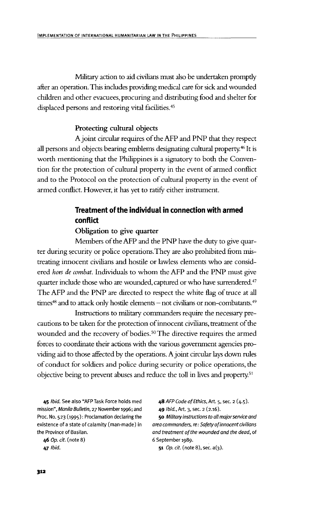Military action to aid civilians must also be undertaken promptly after an operation. This includes providing medical care for sick and wounded children and other evacuees, procuring and distributing food and shelter for displaced persons and restoring vital facilities.<sup>45</sup>

#### **Protecting cultural objects**

A joint circular requires of the AFP and PNP that they respect all persons and objects bearing emblems designating cultural property.<sup>46</sup> It is worth mentioning that the Philippines is a signatory to both the Convention for the protection of cultural property in the event of armed conflict and to the Protocol on the protection of cultural property in the event of armed conflict. However, it has yet to ratify either instrument.

# **Treatment of the individual in connection with armed conflict**

#### **Obligation to give quarter**

Members of the AFP and the PNP have the duty to give quarter during security or police operations.They are also prohibited from mistreating innocent civilians and hostile or lawless elements who are considered *hors de combat.* Individuals to whom the AFP and the PNP must give quarter include those who are wounded, captured or who have surrendered.<sup>47</sup> The AFP and the PNP are directed to respect the white flag of truce at all times<sup>48</sup> and to attack only hostile elements – not civilians or non-combatants.<sup>49</sup>

Instructions to military commanders require the necessary precautions to be taken for the protection of innocent civilians, treatment of the wounded and the recovery of bodies.<sup>50</sup> The directive requires the armed forces to coordinate their actions with the various government agencies providing aid to those affected by the operations. A joint circular lays down rules of conduct for soldiers and police during security or police operations, the objective being to prevent abuses and reduce the toll in lives and property.51

mission", Manila Bulletin,  $27$  November 1996; and  $49$  Ibid., Art. 3, sec. 2 (2.16). Proc. No. 523 (1995): Proclamation declaring the 50 Military instructions to all major service and existence of a state of calamity (man-made) in area commanders, re: Safety of innocent civilians the Province of Basilan.  $and treatment of the wounded and the dead, of$ 

46 Op. cit. (note 8) 6 September 1989.

45 Ibid. See also "AFP Task Force holds med 48 AFP Code of Ethics, Art. 5, sec. 2 (4.5).

**47** *Ibid.* 51 *Op. cit.* (note 8), sec. a(3).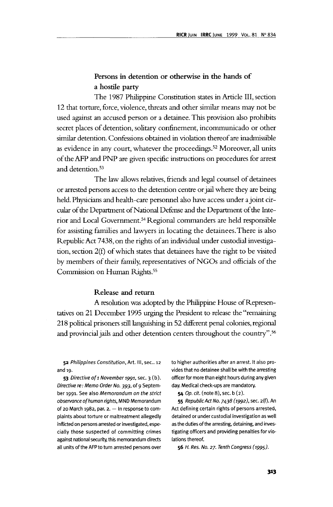# **Persons in detention or otherwise in the hands of a hostile party**

The 1987 Philippine Constitution states in Article **III,** section 12 that torture, force, violence, threats and other similar means may not be used against an accused person or a detainee. This provision also prohibits secret places of detention, solitary confinement, incommunicado or other similar detention. Confessions obtained in violation thereof are inadmissible as evidence in any court, whatever the proceedings.<sup>52</sup> Moreover, all units of the AFP and PNP are given specific instructions on procedures for arrest and detention.<sup>53</sup>

The law allows relatives, friends and legal counsel of detainees or arrested persons access to the detention centre or jail where they are being held. Physicians and health-care personnel also have access under a joint circular of the Department of National Defense and the Department of the Interior and Local Government.<sup>54</sup> Regional commanders are held responsible for assisting families and lawyers in locating the detainees.There is also Republic Act 7438, on the rights of an individual under custodial investigation, section 2(f) of which states that detainees have the right to be visited by members of their family, representatives of NGOs and officials of the Commission on Human Rights.<sup>55</sup>

#### **Release and return**

A resolution was adopted by the Philippine House of Representatives on 21 December 1995 urging the President to release the "remaining 218 political prisoners still languishing in 52 different penal colonies, regional and provincial jails and other detention centers throughout the country".<sup>56</sup>

Directive re: Memo Order No. 393, of 9 Septem- day. Medical check-ups are mandatory. ber 1991. See also Memorandum on the strict  $\qquad 54$  Op. cit. (note 8), sec. b (2). observance of human rights, MND Memorandum 55 Republic Act No. 7438 (1992), sec. 2(f). An of 20 March 1982, par. 2. — In response to com- Act defining certain rights of persons arrested, plaints about torture or maltreatment allegedly detained or under custodial investigation as well inflicted on persons arrested or investigated, espe- as the duties of the arresting, detaining, and invescially those suspected of committing crimes tigating officers and providing penalties for vioagainst national security, this memorandum directs lations thereof. all units of the AFP to turn arrested persons over  $\overline{56}$  H. Res. No. 27. Tenth Congress (1995).

52 Philippines Constitution, Art. III, sec.. 12 to higher authorities after an arrest. It also proand 19. vides that no detainee shall be with the arresting 53 Directive of 1 November 1991, sec. 3 (b). officer for more than eight hours during any given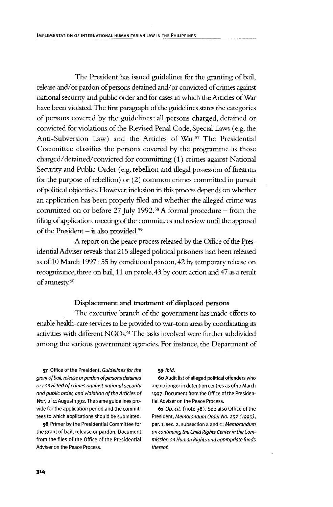The President has issued guidelines for the granting of bail, release and/or pardon of persons detained and/or convicted of crimes against national security and public order and for cases in which the Articles of War have been violated. The first paragraph of the guidelines states the categories of persons covered by the guidelines: all persons charged, detained or convicted for violations of the Revised Penal Code, Special Laws (e.g. the Anti-Subversion Law) and the Articles of War.57 The Presidential Committee classifies the persons covered by the programme as those charged/detained/convicted for committing (1) crimes against National Security and Public Order (e.g. rebellion and illegal possession of firearms for the purpose of rebellion) or (2) common crimes committed in pursuit of political objectives. However, inclusion in this process depends on whether an application has been properly filed and whether the alleged crime was committed on or before 27 July 1992.<sup>58</sup> A formal procedure – from the filing of application, meeting of the committees and review until the approval of the President — is also provided.59

A report on the peace process released by the Office of the Presidential Adviser reveals that 215 alleged political prisoners had been released as of 10 March 1997: 55 by conditional pardon, 42 by temporary release on recognizance, three on bail, 11 on parole, 43 by court action and 47 as a result of amnesty.60

#### **Displacement and treatment of displaced persons**

The executive branch of the government has made efforts to enable health-care services to be provided to war-torn areas by coordinating its activities with different NGOs.<sup>61</sup> The tasks involved were further subdivided among the various government agencies. For instance, the Department of

57 Office of the President, Guidelines for the 59 Ibid. grant of bail, release or pardon of persons detained 60 Audit list of alleged political offenders who or convicted of crimes against national security are no longer in detention centres as of 10 March and public order, and violation of the Articles of 1997. Document from the Office of the Presiden-War, of 11 August 1992. The same guidelines pro- tial Adviser on the Peace Process. vide for the application period and the commit- 61 Op. cit. (note  $38$ ). See also Office of the tees to which applications should be submitted. President, Memorandum Order No. 257 (1995),

the grant of bail, release or pardon. Document on continuing the Child Rights Center in the Comfrom the files of the Office of the Presidential mission on Human Rights and appropriate funds Adviser on the Peace Process. Thereof.

58 Primer by the Presidential Committee for par. 1, sec. 2, subsection a and c: Memorandum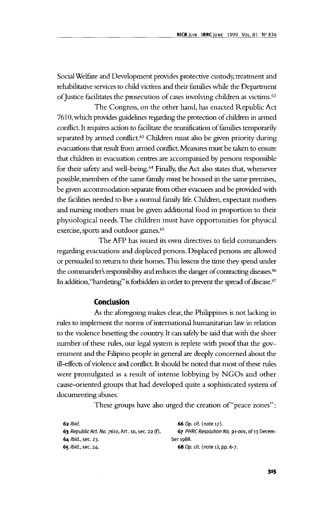Social Welfare and Development provides protective custody, treatment and rehabilitative services to child victims and their families while the Department of Justice facilitates the prosecution of cases involving children as victims.<sup>62</sup>

The Congress, on the other hand, has enacted Republic Act 7610, which provides guidelines regarding the protection of children in armed conflict. It requires action to facilitate the reunification of families temporarily separated by armed conflict.<sup>63</sup> Children must also be given priority during evacuations that result from armed conflict. Measures must be taken to ensure that children in evacuation centres are accompanied by persons responsible for their safety and well-being.<sup>64</sup> Finally, the Act also states that, whenever possible, members of die same family must be housed in the same premises, be given accommodation separate from other evacuees and be provided with the facilities needed to live a normal family life. Children, expectant mothers and nursing mothers must be given additional food in proportion to their physiological needs.The children must have opportunities for physical exercise, sports and outdoor games.<sup>65</sup>

The AFP has issued its own directives to field commanders regarding evacuations and displaced persons. Displaced persons are allowed or persuaded to return to their homes. This lessens the time they spend under the commander's responsibility and reduces the danger of contracting diseases.<sup>66</sup> In addition, "hamleting" is forbidden in order to prevent the spread of disease.<sup>67</sup>

## **Conclusion**

As the aforegoing makes clear, the Philippines is not lacking in rules to implement the norms of international humanitarian law in relation to the violence besetting the country. It can safely be said that with the sheer number of these rules, our legal system is replete with proof that the government and die Filipino people in general are deeply concerned about the ill-effects of violence and conflict. It should be noted that most of these rules were promulgated as a result of intense lobbying by NGOs and other cause-oriented groups that had developed quite a sophisticated system of documenting abuses.

These groups have also urged the creation of "peace zones":

| 62 Ibid.                                         | <b>66</b> <i>Op. cit.</i> (note 17).        |
|--------------------------------------------------|---------------------------------------------|
| 63 Republic Act. No. 7610, Art. 10, sec. 22 (f). | 67 PHRC Resolution No. 91-001, of 13 Decem- |
| $64$ Ibid., sec. 23.                             | ber 1988.                                   |
| 65 Ibid., sec. 24.                               | 68 Op. cit. (note 1), pp. 6-7.              |